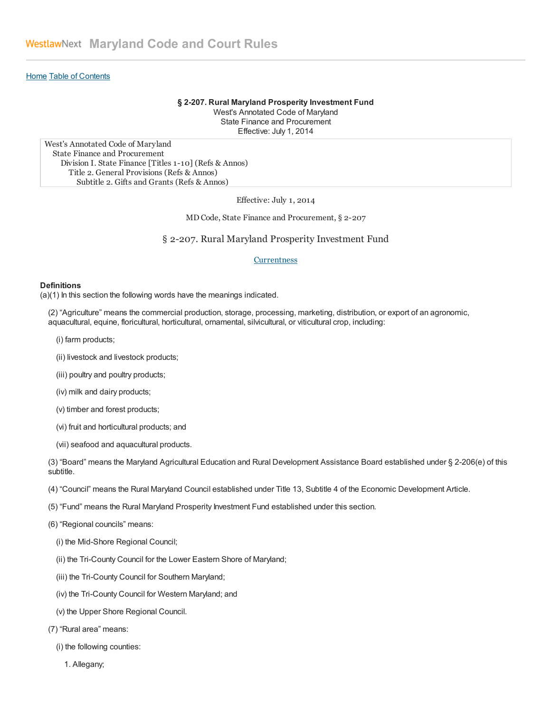## [Home](https://govt.westlaw.com/mdc/Browse/Home/Maryland/MarylandCodeCourtRules) Table of [Contents](https://govt.westlaw.com/mdc/Browse/Home/Maryland/MarylandCodeCourtRules?guid=#N814B3CB0F04811E38181F708AA99DA00)

#### § 2-207. Rural Maryland Prosperity Investment Fund

West's Annotated Code of Maryland State Finance and Procurement Effective: July 1, 2014

West's Annotated Code of Maryland State Finance and Procurement Division I. State Finance [Titles 1-10] (Refs & Annos) Title 2. General Provisions (Refs & Annos) Subtitle 2. Gifts and Grants (Refs & Annos)

Effective: July 1, 2014

MD Code, State Finance and Procurement, § 2-207

§ 2-207. Rural Maryland Prosperity Investment Fund

#### **Currentness**

#### **Definitions**

(a)(1) In this section the following words have the meanings indicated.

(2) "Agriculture" means the commercial production, storage, processing, marketing, distribution, or export of an agronomic, aquacultural, equine, floricultural, horticultural, ornamental, silvicultural, or viticultural crop, including:

- (i) farm products;
- (ii) livestock and livestock products;
- (iii) poultry and poultry products;
- (iv) milk and dairy products;
- (v) timber and forest products;
- (vi) fruit and horticultural products; and
- (vii) seafood and aquacultural products.

(3) "Board" means the Maryland Agricultural Education and Rural Development Assistance Board established under § 2-206(e) of this subtitle.

- (4) "Council" means the Rural Maryland Council established under Title 13, Subtitle 4 of the Economic Development Article.
- (5) "Fund" means the Rural Maryland Prosperity Investment Fund established under this section.
- (6) "Regional councils" means:
	- (i) the Mid-Shore Regional Council;
	- (ii) the Tri-County Council for the Lower Eastern Shore of Maryland;
	- (iii) the Tri-County Council for Southern Maryland;
	- (iv) the Tri-County Council for Western Maryland; and
	- (v) the Upper Shore Regional Council.
- (7) "Rural area" means:
	- (i) the following counties:
		- 1. Allegany;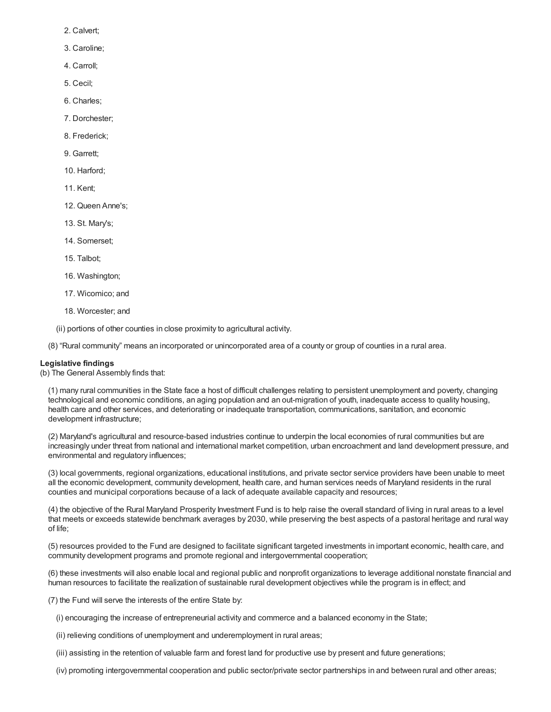- 2. Calvert;
- 3. Caroline;
- 4. Carroll;
- 5. Cecil;
- 6. Charles;
- 7. Dorchester;
- 8. Frederick;
- 9. Garrett;
- 10. Harford;
- 11. Kent;
- 12. Queen Anne's;
- 13. St. Mary's;
- 14. Somerset;
- 15. Talbot;
- 16. Washington;
- 17. Wicomico; and
- 18. Worcester; and
- (ii) portions of other counties in close proximity to agricultural activity.

(8) "Rural community" means an incorporated or unincorporated area of a county or group of counties in a rural area.

# Legislative findings

(b) The General Assembly finds that:

(1) many rural communities in the State face a host of difficult challenges relating to persistent unemployment and poverty, changing technological and economic conditions, an aging population and an out-migration of youth, inadequate access to quality housing, health care and other services, and deteriorating or inadequate transportation, communications, sanitation, and economic development infrastructure;

(2) Maryland's agricultural and resource-based industries continue to underpin the local economies of rural communities but are increasingly under threat from national and international market competition, urban encroachment and land development pressure, and environmental and regulatory influences;

(3) local governments, regional organizations, educational institutions, and private sector service providers have been unable to meet all the economic development, community development, health care, and human services needs of Maryland residents in the rural counties and municipal corporations because of a lack of adequate available capacity and resources;

(4) the objective of the Rural Maryland Prosperity Investment Fund is to help raise the overall standard of living in rural areas to a level that meets or exceeds statewide benchmark averages by 2030, while preserving the best aspects of a pastoral heritage and rural way of life;

(5) resources provided to the Fund are designed to facilitate significant targeted investments in important economic, health care, and community development programs and promote regional and intergovernmental cooperation;

(6) these investments will also enable local and regional public and nonprofit organizations to leverage additional nonstate financial and human resources to facilitate the realization of sustainable rural development objectives while the program is in effect; and

(7) the Fund will serve the interests of the entire State by:

- (i) encouraging the increase of entrepreneurial activity and commerce and a balanced economy in the State;
- (ii) relieving conditions of unemployment and underemployment in rural areas;
- (iii) assisting in the retention of valuable farm and forest land for productive use by present and future generations;
- (iv) promoting intergovernmental cooperation and public sector/private sector partnerships in and between rural and other areas;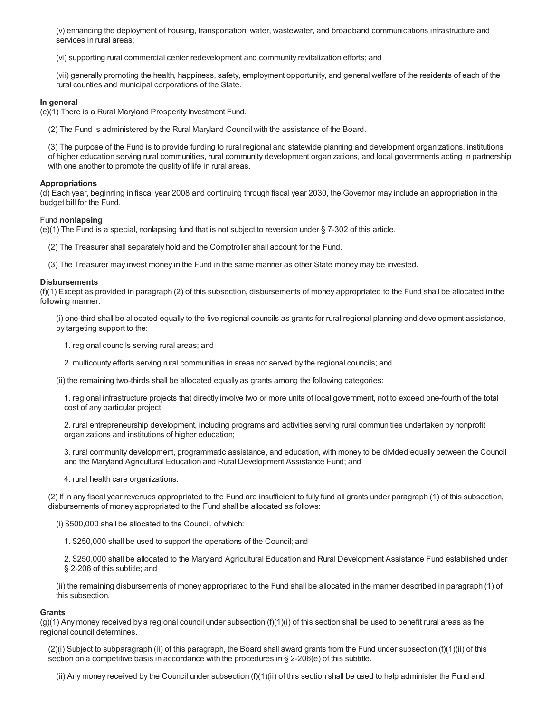(v) enhancing the deployment of housing, transportation, water, wastewater, and broadband communications infrastructure and services in rural areas;

(vi) supporting rural commercial center redevelopment and community revitalization efforts; and

(vii) generally promoting the health, happiness, safety, employment opportunity, and general welfare of the residents of each of the rural counties and municipal corporations of the State.

### In general

(c)(1) There is a Rural Maryland Prosperity Investment Fund.

(2) The Fund is administered by the Rural Maryland Council with the assistance of the Board.

(3) The purpose of the Fund is to provide funding to rural regional and statewide planning and development organizations, institutions of higher education serving rural communities, rural community development organizations, and local governments acting in partnership with one another to promote the quality of life in rural areas.

### Appropriations

(d) Each year, beginning in fiscal year 2008 and continuing through fiscal year 2030, the Governor may include an appropriation in the budget bill for the Fund.

#### Fund nonlapsing

(e)(1) The Fund is a special, nonlapsing fund that is not subject to reversion under § 7-302 of this article.

(2) The Treasurer shall separately hold and the Comptroller shall account for the Fund.

(3) The Treasurer may invest money in the Fund in the same manner as other State money may be invested.

### **Disbursements**

(f)(1) Except as provided in paragraph (2) of this subsection, disbursements of money appropriated to the Fund shall be allocated in the following manner:

(i) one-third shall be allocated equally to the five regional councils as grants for rural regional planning and development assistance, by targeting support to the:

1. regional councils serving rural areas; and

2. multicounty efforts serving rural communities in areas not served by the regional councils; and

(ii) the remaining two-thirds shall be allocated equally as grants among the following categories:

1. regional infrastructure projects that directly involve two or more units of local government, not to exceed one-fourth of the total cost of any particular project;

2. rural entrepreneurship development, including programs and activities serving rural communities undertaken by nonprofit organizations and institutions of higher education;

3. rural community development, programmatic assistance, and education, with money to be divided equally between the Council and the Maryland Agricultural Education and Rural Development Assistance Fund; and

4. rural health care organizations.

(2) If in any fiscal year revenues appropriated to the Fund are insufficient to fully fund all grants under paragraph (1) of this subsection, disbursements of money appropriated to the Fund shall be allocated as follows:

(i) \$500,000 shall be allocated to the Council, of which:

1. \$250,000 shall be used to support the operations of the Council; and

2. \$250,000 shall be allocated to the Maryland Agricultural Education and Rural Development Assistance Fund established under § 2-206 of this subtitle; and

(ii) the remaining disbursements of money appropriated to the Fund shall be allocated in the manner described in paragraph (1) of this subsection.

#### **Grants**

 $(g)(1)$  Any money received by a regional council under subsection  $(f)(1)(i)$  of this section shall be used to benefit rural areas as the regional council determines.

(2)(i) Subject to subparagraph (ii) of this paragraph, the Board shall award grants from the Fund under subsection (f)(1)(ii) of this section on a competitive basis in accordance with the procedures in § 2-206(e) of this subtitle.

(ii) Any money received by the Council under subsection (f)(1)(ii) of this section shall be used to help administer the Fund and